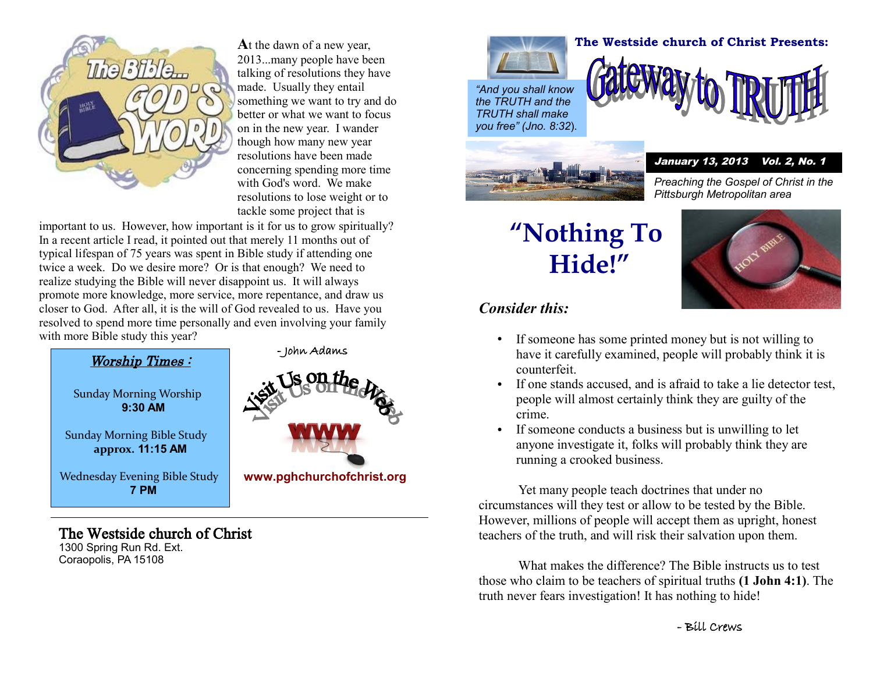

**A**t the dawn of a new year, 2013...many people have been talking of resolutions they have made. Usually they entail something we want to try and do better or what we want to focus on in the new year. I wander though how many new year resolutions have been made concerning spending more time with God's word. We make resolutions to lose weight or to tackle some project that is

important to us. However, how important is it for us to grow spiritually? In a recent article I read, it pointed out that merely 11 months out of typical lifespan of 75 years was spent in Bible study if attending one twice a week. Do we desire more? Or is that enough? We need to realize studying the Bible will never disappoint us. It will always promote more knowledge, more service, more repentance, and draw us closer to God. After all, it is the will of God revealed to us. Have you resolved to spend more time personally and even involving your family with more Bible study this year?



## The Westside church of Christ

1300 Spring Run Rd. Ext. Coraopolis, PA 15108



*"And you shall know the TRUTH and the TRUTH shall make you free" (Jno. 8:32*).



## **The Westside church of Christ Presents:**



#### January 13, 2013 Vol. 2, No. 1

*Preaching the Gospel of Christ in the Pittsburgh Metropolitan area*

# **"Nothing To Hide!"**



### *Consider this:*

- If someone has some printed money but is not willing to have it carefully examined, people will probably think it is counterfeit.
- If one stands accused, and is afraid to take a lie detector test, people will almost certainly think they are guilty of the crime.
- If someone conducts a business but is unwilling to let anyone investigate it, folks will probably think they are running a crooked business.

Yet many people teach doctrines that under no circumstances will they test or allow to be tested by the Bible. However, millions of people will accept them as upright, honest teachers of the truth, and will risk their salvation upon them.

What makes the difference? The Bible instructs us to test those who claim to be teachers of spiritual truths **(1 John 4:1)**. The truth never fears investigation! It has nothing to hide!